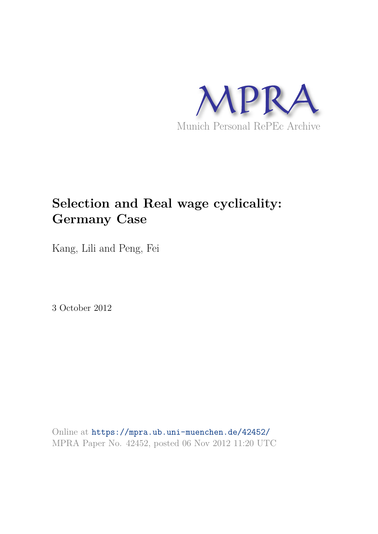

# **Selection and Real wage cyclicality: Germany Case**

Kang, Lili and Peng, Fei

3 October 2012

Online at https://mpra.ub.uni-muenchen.de/42452/ MPRA Paper No. 42452, posted 06 Nov 2012 11:20 UTC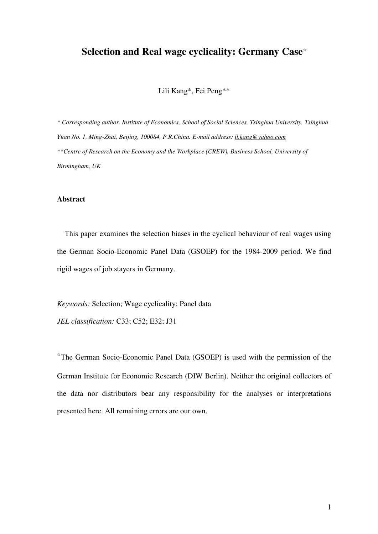# **Selection and Real wage cyclicality: Germany Case**☆

Lili Kang\*, Fei Peng\*\*

*\* Corresponding author. Institute of Economics, School of Social Sciences, Tsinghua University, Tsinghua Yuan No. 1, Ming-Zhai, Beijing, 100084, P.R.China. E-mail address[: ll.kang@yahoo.com](mailto:ll.kang@yahoo.com)  \*\*Centre of Research on the Economy and the Workplace (CREW), Business School, University of Birmingham, UK* 

## **Abstract**

This paper examines the selection biases in the cyclical behaviour of real wages using the German Socio-Economic Panel Data (GSOEP) for the 1984-2009 period. We find rigid wages of job stayers in Germany.

*Keywords:* Selection; Wage cyclicality; Panel data

*JEL classification:* C33; C52; E32; J31

☆ The German Socio-Economic Panel Data (GSOEP) is used with the permission of the German Institute for Economic Research (DIW Berlin). Neither the original collectors of the data nor distributors bear any responsibility for the analyses or interpretations presented here. All remaining errors are our own.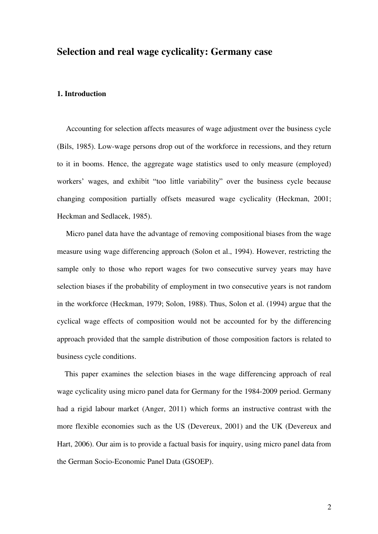# **Selection and real wage cyclicality: Germany case**

# **1. Introduction**

Accounting for selection affects measures of wage adjustment over the business cycle [\(Bils, 1985\)](#page-8-0). Low-wage persons drop out of the workforce in recessions, and they return to it in booms. Hence, the aggregate wage statistics used to only measure (employed) workers' wages, and exhibit "too little variability" over the business cycle because changing composition partially offsets measured wage cyclicality [\(Heckman, 2001;](#page-8-1) [Heckman and Sedlacek, 1985\)](#page-9-0).

Micro panel data have the advantage of removing compositional biases from the wage measure using wage differencing approach [\(Solon et al., 1994\)](#page-9-1). However, restricting the sample only to those who report wages for two consecutive survey years may have selection biases if the probability of employment in two consecutive years is not random in the workforce [\(Heckman, 1979;](#page-8-2) [Solon, 1988\)](#page-9-2). Thus, Solon et al. [\(1994\)](#page-9-1) argue that the cyclical wage effects of composition would not be accounted for by the differencing approach provided that the sample distribution of those composition factors is related to business cycle conditions.

This paper examines the selection biases in the wage differencing approach of real wage cyclicality using micro panel data for Germany for the 1984-2009 period. Germany had a rigid labour market [\(Anger, 2011\)](#page-8-3) which forms an instructive contrast with the more flexible economies such as the US [\(Devereux, 2001\)](#page-8-4) and the UK [\(Devereux and](#page-8-5)  [Hart, 2006\)](#page-8-5). Our aim is to provide a factual basis for inquiry, using micro panel data from the German Socio-Economic Panel Data (GSOEP).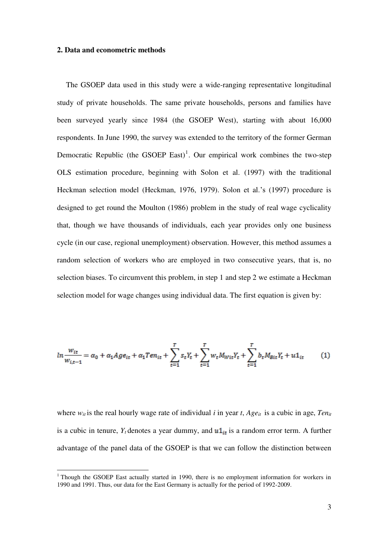## **2. Data and econometric methods**

 $\overline{a}$ 

The GSOEP data used in this study were a wide-ranging representative longitudinal study of private households. The same private households, persons and families have been surveyed yearly since 1984 (the GSOEP West), starting with about 16,000 respondents. In June 1990, the survey was extended to the territory of the former German Democratic Republic (the GSOEP East)<sup>1</sup>. Our empirical work combines the two-step OLS estimation procedure, beginning with Solon et al. [\(1997\)](#page-9-3) with the traditional Heckman selection model [\(Heckman, 1976,](#page-8-6) [1979\)](#page-8-2). Solon et al.'s [\(1997\)](#page-9-3) procedure is designed to get round the Moulton [\(1986\)](#page-9-4) problem in the study of real wage cyclicality that, though we have thousands of individuals, each year provides only one business cycle (in our case, regional unemployment) observation. However, this method assumes a random selection of workers who are employed in two consecutive years, that is, no selection biases. To circumvent this problem, in step 1 and step 2 we estimate a Heckman selection model for wage changes using individual data. The first equation is given by:

$$
ln \frac{w_{it}}{w_{i,t-1}} = \alpha_0 + \alpha_1 Age_{it} + \alpha_1 Ten_{it} + \sum_{t=1}^{T} s_t Y_t + \sum_{t=1}^{T} w_t M_{Wit} Y_t + \sum_{t=1}^{T} b_t M_{Bit} Y_t + u1_{it} \tag{1}
$$

where  $w_{it}$  is the real hourly wage rate of individual *i* in year *t*, *Age*<sub>*it*</sub> is a cubic in age, *Ten<sub>it</sub>* is a cubic in tenure,  $Y_t$  denotes a year dummy, and  $u1_{it}$  is a random error term. A further advantage of the panel data of the GSOEP is that we can follow the distinction between

<sup>&</sup>lt;sup>1</sup> Though the GSOEP East actually started in 1990, there is no employment information for workers in 1990 and 1991. Thus, our data for the East Germany is actually for the period of 1992-2009.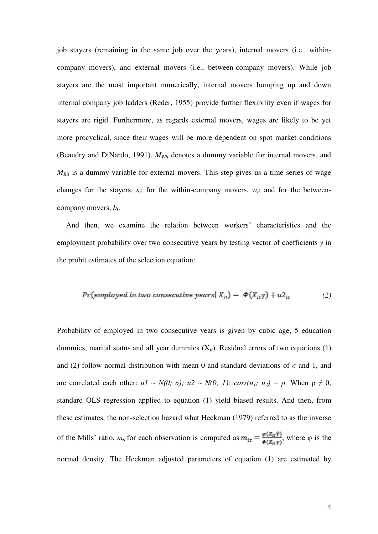job stayers (remaining in the same job over the years), internal movers (i.e., withincompany movers), and external movers (i.e., between-company movers). While job stayers are the most important numerically, internal movers bumping up and down internal company job ladders [\(Reder, 1955\)](#page-9-5) provide further flexibility even if wages for stayers are rigid. Furthermore, as regards external movers, wages are likely to be yet more procyclical, since their wages will be more dependent on spot market conditions [\(Beaudry and DiNardo, 1991\)](#page-8-7). *MWit* denotes a dummy variable for internal movers, and *MBit* is a dummy variable for external movers. This step gives us a time series of wage changes for the stayers,  $s_t$ ; for the within-company movers,  $w_t$ ; and for the betweencompany movers, *b<sup>t</sup>* .

And then, we examine the relation between workers' characteristics and the employment probability over two consecutive years by testing vector of coefficients *γ* in the probit estimates of the selection equation:

$$
Pr(employed in two consecutive years | Xit) = \Phi(Xit\gamma) + u2it
$$
 (2)

Probability of employed in two consecutive years is given by cubic age, 5 education dummies, marital status and all year dummies  $(X_{it})$ . Residual errors of two equations (1) and (2) follow normal distribution with mean 0 and standard deviations of  $\sigma$  and 1, and are correlated each other:  $uI \sim N(0; \sigma)$ ;  $u2 \sim N(0; 1)$ ; corr( $u_1$ ;  $u_2$ ) =  $\rho$ . When  $\rho \neq 0$ , standard OLS regression applied to equation (1) yield biased results. And then, from these estimates, the non-selection hazard what Heckman [\(1979\)](#page-8-2) referred to as the inverse of the Mills' ratio,  $m_{it}$  for each observation is computed as  $m_{it} = \frac{\varphi(X_{it} \hat{y})}{\phi(X_{it} y)}$ , where  $\varphi$  is the normal density. The Heckman adjusted parameters of equation (1) are estimated by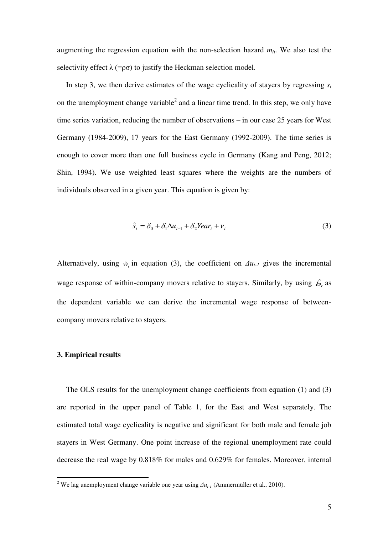augmenting the regression equation with the non-selection hazard  $m_{it}$ . We also test the selectivity effect  $\lambda$  (=ρσ) to justify the Heckman selection model.

In step 3, we then derive estimates of the wage cyclicality of stayers by regressing  $s_t$ on the unemployment change variable<sup>2</sup> and a linear time trend. In this step, we only have time series variation, reducing the number of observations – in our case 25 years for West Germany (1984-2009), 17 years for the East Germany (1992-2009). The time series is enough to cover more than one full business cycle in Germany [\(Kang and Peng, 2012;](#page-9-6) [Shin, 1994\)](#page-9-7). We use weighted least squares where the weights are the numbers of individuals observed in a given year. This equation is given by:

$$
\hat{s}_t = \delta_0 + \delta_1 \Delta u_{t-1} + \delta_2 \text{Year}_t + v_t \tag{3}
$$

Alternatively, using  $\hat{w}_t$  in equation (3), the coefficient on  $\Delta u_{t-1}$  gives the incremental wage response of within-company movers relative to stayers. Similarly, by using  $\hat{b}_t$  as the dependent variable we can derive the incremental wage response of betweencompany movers relative to stayers.

## **3. Empirical results**

The OLS results for the unemployment change coefficients from equation (1) and (3) are reported in the upper panel of Table 1, for the East and West separately. The estimated total wage cyclicality is negative and significant for both male and female job stayers in West Germany. One point increase of the regional unemployment rate could decrease the real wage by 0.818% for males and 0.629% for females. Moreover, internal

<sup>&</sup>lt;sup>2</sup> We lag unemployment change variable one year using  $\Delta u_{t-1}$  [\(Ammermüller et al., 2010\)](#page-8-8).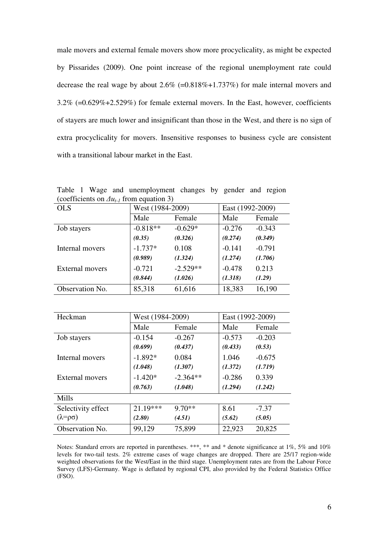male movers and external female movers show more procyclicality, as might be expected by Pissarides [\(2009\)](#page-9-8). One point increase of the regional unemployment rate could decrease the real wage by about 2.6% (=0.818%+1.737%) for male internal movers and  $3.2\%$  (=0.629%+2.529%) for female external movers. In the East, however, coefficients of stayers are much lower and insignificant than those in the West, and there is no sign of extra procyclicality for movers. Insensitive responses to business cycle are consistent with a transitional labour market in the East.

(coefficients on  $\Delta u_{t-1}$  from equation 3)<br>OLS West (1984-2)  $\sqrt{\text{West} (1984-2009)}$  East (1992-2009) Male Female | Male Female Job stayers  $-0.818** -0.629*$   $-0.276 -0.343$ *(0.35) (0.326) (0.274) (0.349)*  Internal movers  $-1.737*$  0.108  $-.141$  -0.791 *(0.989) (1.324) (1.274) (1.706)*  External movers  $-0.721$   $-2.529**$   $-0.478$   $0.213$ *(0.844) (1.026) (1.318) (1.29)* 

Table 1 Wage and unemployment changes by gender and region

|                        | $1.800(120)$ $1.2007$ |            | $\frac{1}{2}$ |          |
|------------------------|-----------------------|------------|---------------|----------|
|                        | Male                  | Female     | Male          | Female   |
| Job stayers            | $-0.818**$            | $-0.629*$  | $-0.276$      | $-0.343$ |
|                        | (0.35)                | (0.326)    | (0.274)       | (0.349)  |
| Internal movers        | $-1.737*$             | 0.108      | $-0.141$      | $-0.791$ |
|                        | (0.989)               | (1.324)    | (1.274)       | (1.706)  |
| <b>External movers</b> | $-0.721$              | $-2.529**$ | $-0.478$      | 0.213    |
|                        | (0.844)               | (1.026)    | (1.318)       | (1.29)   |
| Observation No.        | 85,318                | 61,616     | 18,383        | 16,190   |
|                        |                       |            |               |          |

| Heckman                   | West (1984-2009) |            | East (1992-2009) |          |
|---------------------------|------------------|------------|------------------|----------|
|                           | Male             | Female     | Male             | Female   |
| Job stayers               | $-0.154$         | $-0.267$   | $-0.573$         | $-0.203$ |
|                           | (0.699)          | (0.437)    | (0.433)          | (0.53)   |
| Internal movers           | $-1.892*$        | 0.084      | 1.046            | $-0.675$ |
|                           | (1.048)          | (1.307)    | (1.372)          | (1.719)  |
| External movers           | $-1.420*$        | $-2.364**$ | $-0.286$         | 0.339    |
|                           | (0.763)          | (1.048)    | (1.294)          | (1.242)  |
| <b>Mills</b>              |                  |            |                  |          |
| Selectivity effect        | 21.19***         | $9.70**$   | 8.61             | $-7.37$  |
| $(\lambda = \rho \sigma)$ | (2.80)           | (4.51)     | (5.62)           | (5.05)   |
| Observation No.           | 99,129           | 75,899     | 22,923           | 20,825   |

Notes: Standard errors are reported in parentheses. \*\*\*, \*\* and \* denote significance at 1%, 5% and 10% levels for two-tail tests. 2% extreme cases of wage changes are dropped. There are 25/17 region-wide weighted observations for the West/East in the third stage. Unemployment rates are from the Labour Force Survey (LFS)-Germany. Wage is deflated by regional CPI, also provided by the Federal Statistics Office (FSO).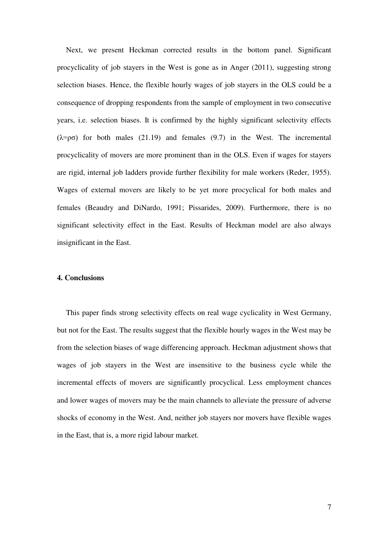Next, we present Heckman corrected results in the bottom panel. Significant procyclicality of job stayers in the West is gone as in Anger [\(2011\)](#page-8-3), suggesting strong selection biases. Hence, the flexible hourly wages of job stayers in the OLS could be a consequence of dropping respondents from the sample of employment in two consecutive years, i.e. selection biases. It is confirmed by the highly significant selectivity effects  $(\lambda = \rho \sigma)$  for both males (21.19) and females (9.7) in the West. The incremental procyclicality of movers are more prominent than in the OLS. Even if wages for stayers are rigid, internal job ladders provide further flexibility for male workers [\(Reder, 1955\)](#page-9-5). Wages of external movers are likely to be yet more procyclical for both males and females [\(Beaudry and DiNardo, 1991;](#page-8-7) [Pissarides, 2009\)](#page-9-8). Furthermore, there is no significant selectivity effect in the East. Results of Heckman model are also always insignificant in the East.

# **4. Conclusions**

This paper finds strong selectivity effects on real wage cyclicality in West Germany, but not for the East. The results suggest that the flexible hourly wages in the West may be from the selection biases of wage differencing approach. Heckman adjustment shows that wages of job stayers in the West are insensitive to the business cycle while the incremental effects of movers are significantly procyclical. Less employment chances and lower wages of movers may be the main channels to alleviate the pressure of adverse shocks of economy in the West. And, neither job stayers nor movers have flexible wages in the East, that is, a more rigid labour market.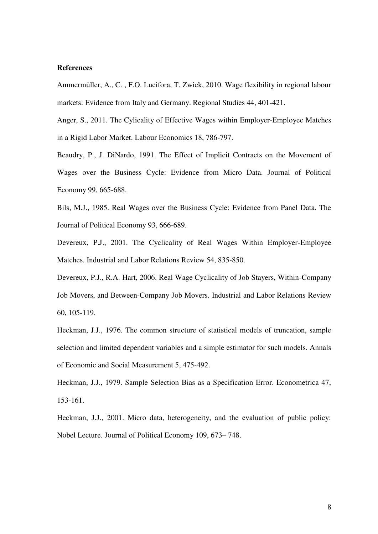## **References**

<span id="page-8-8"></span>Ammermüller, A., C. , F.O. Lucifora, T. Zwick, 2010. Wage flexibility in regional labour markets: Evidence from Italy and Germany. Regional Studies 44, 401-421.

<span id="page-8-3"></span>Anger, S., 2011. The Cylicality of Effective Wages within Employer-Employee Matches in a Rigid Labor Market. Labour Economics 18, 786-797.

<span id="page-8-7"></span>Beaudry, P., J. DiNardo, 1991. The Effect of Implicit Contracts on the Movement of Wages over the Business Cycle: Evidence from Micro Data. Journal of Political Economy 99, 665-688.

<span id="page-8-0"></span>Bils, M.J., 1985. Real Wages over the Business Cycle: Evidence from Panel Data. The Journal of Political Economy 93, 666-689.

<span id="page-8-4"></span>Devereux, P.J., 2001. The Cyclicality of Real Wages Within Employer-Employee Matches. Industrial and Labor Relations Review 54, 835-850.

<span id="page-8-5"></span>Devereux, P.J., R.A. Hart, 2006. Real Wage Cyclicality of Job Stayers, Within-Company Job Movers, and Between-Company Job Movers. Industrial and Labor Relations Review 60, 105-119.

<span id="page-8-6"></span>Heckman, J.J., 1976. The common structure of statistical models of truncation, sample selection and limited dependent variables and a simple estimator for such models. Annals of Economic and Social Measurement 5, 475-492.

<span id="page-8-2"></span>Heckman, J.J., 1979. Sample Selection Bias as a Specification Error. Econometrica 47, 153-161.

<span id="page-8-1"></span>Heckman, J.J., 2001. Micro data, heterogeneity, and the evaluation of public policy: Nobel Lecture. Journal of Political Economy 109, 673– 748.